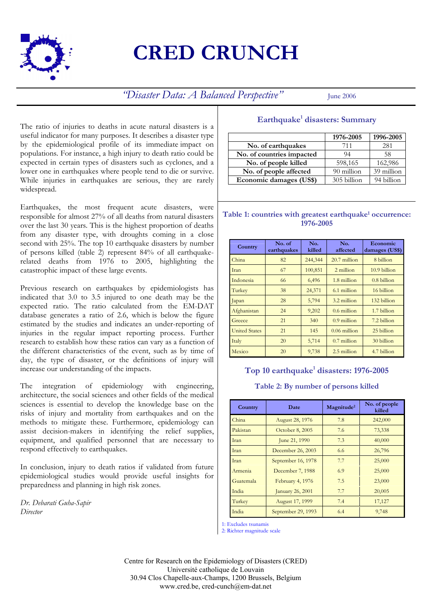

# **CRED CRUNCH**

*'Disaster Data: A Balanced Perspective''* June 2006

The ratio of injuries to deaths in acute natural disasters is a useful indicator for many purposes. It describes a disaster type by the epidemiological profile of its immediate impact on populations. For instance, a high injury to death ratio could be expected in certain types of disasters such as cyclones, and a lower one in earthquakes where people tend to die or survive. While injuries in earthquakes are serious, they are rarely widespread.

Earthquakes, the most frequent acute disasters, were responsible for almost 27% of all deaths from natural disasters over the last 30 years. This is the highest proportion of deaths from any disaster type, with droughts coming in a close second with 25%. The top 10 earthquake disasters by number of persons killed (table 2) represent 84% of all earthquakerelated deaths from 1976 to 2005, highlighting the catastrophic impact of these large events.

Previous research on earthquakes by epidemiologists has indicated that 3.0 to 3.5 injured to one death may be the expected ratio. The ratio calculated from the EM-DAT database generates a ratio of 2.6, which is below the figure estimated by the studies and indicates an under-reporting of injuries in the regular impact reporting process. Further research to establish how these ratios can vary as a function of the different characteristics of the event, such as by time of day, the type of disaster, or the definitions of injury will increase our understanding of the impacts.

The integration of epidemiology with engineering, architecture, the social sciences and other fields of the medical sciences is essential to develop the knowledge base on the risks of injury and mortality from earthquakes and on the methods to mitigate these. Furthermore, epidemiology can assist decision-makers in identifying the relief supplies, equipment, and qualified personnel that are necessary to respond effectively to earthquakes.

In conclusion, injury to death ratios if validated from future epidemiological studies would provide useful insights for preparedness and planning in high risk zones.

*Dr. Debarati Guha-Sapir Director*

# Earthquake<sup>1</sup> disasters: Summary

|                           | 1976-2005   | 1996-2005  |
|---------------------------|-------------|------------|
| No. of earthquakes        | 711         | 281        |
| No. of countries impacted | 94          | 58         |
| No. of people killed      | 598,165     | 162,986    |
| No. of people affected    | 90 million  | 39 million |
| Economic damages (US\$)   | 305 billion | 94 billion |

## Table 1: countries with greatest earthquake<sup>1</sup> occurrence: **1976-2005**

| Country              | No. of<br>earthquakes | No.<br>killed | No.<br>affected | Economic<br>damages (US\$) |
|----------------------|-----------------------|---------------|-----------------|----------------------------|
| China                | 82                    | 244,344       | $20.7$ million  | 8 billion                  |
| Iran                 | 67                    | 100,851       | 2 million       | 10.9 billion               |
| Indonesia            | 66                    | 6,496         | 1.8 million     | $0.8$ billion              |
| Turkey               | 38                    | 24,371        | 6.1 million     | 16 billion                 |
| Japan                | 28                    | 5,794         | 3.2 million     | 132 billion                |
| Afghanistan          | 24                    | 9,202         | $0.6$ million   | 1.7 billion                |
| Greece               | 21                    | 340           | $0.9$ million   | 7.2 billion                |
| <b>United States</b> | 21                    | 145           | $0.06$ million  | 25 billion                 |
| Italy                | 20                    | 5,714         | $0.7$ million   | 30 billion                 |
| Mexico               | 20                    | 9,738         | 2.5 million     | 4.7 billion                |

## Top 10 earthquake<sup>1</sup> disasters: 1976-2005

## **Table 2: By number of persons killed**

| Country   | Date                   | Magnitude <sup>2</sup> | No. of people<br>killed |
|-----------|------------------------|------------------------|-------------------------|
| China     | <b>August 28, 1976</b> | 7.8                    | 242,000                 |
| Pakistan  | October 8, 2005        | 7.6                    | 73,338                  |
| Iran      | June 21, 1990          | 7.3                    | 40,000                  |
| Iran      | December 26, 2003      | 6.6                    | 26,796                  |
| Iran      | September 16, 1978     | 7.7                    | 25,000                  |
| Armenia   | December 7, 1988       | 6.9                    | 25,000                  |
| Guatemala | February 4, 1976       | 7.5                    | 23,000                  |
| India     | January 26, 2001       | 7.7                    | 20,005                  |
| Turkey    | <b>August 17, 1999</b> | 7.4                    | 17,127                  |
| India     | September 29, 1993     | 6.4                    | 9,748                   |

1: Excludes tsunamis

2: Richter magnitude scale

Centre for Research on the Epidemiology of Disasters (CRED) Université catholique de Louvain 30.94 Clos Chapelle-aux-Champs, 1200 Brussels, Belgium www.cred.be, cred-cunch@em-dat.net